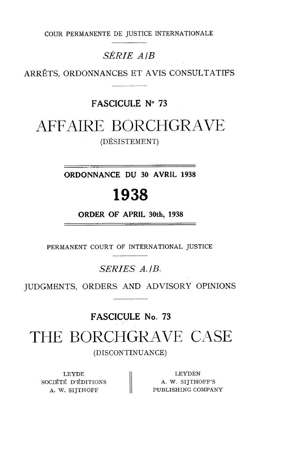COUR PERMANENTE DE JUSTICE INTERNATIONALE

### **SÉRIE AIB**

ARRÊTS, ORDONNANCES ET AVIS CONSULTATIFS

### **FASCICULE No 73**

## AFFAIRE BORCHGRAVE

(DÉSISTEMENT)

**ORDONNANCE DU 30 AVRIL 1938** 

## 1938

**ORDER OF APRlL 30th, 1938** 

PERMANENT COURT OF INTERNATIONAL JUSTICE

SERIES A.IB.

JUDGMENTS, ORDERS AND ADVISORY OPINIONS

**FASCICULE No. 73** 

# THE BORCHGRAVE CASE

(DISCONTINUANCE)

LEYDE SOCIÉTÉ D'ÉDITIONS  $||$  A. W. SIJTHOFF'S

LEYDE LEYDEN<br>CIÉTÉ D'ÉDITIONS | A. W. SIJTHOFF'S<br>A. W. SIJTHOFF PUBLISHING COMPANY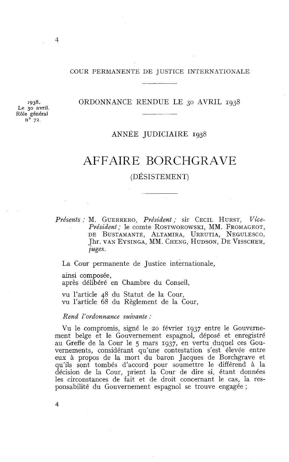#### COUR PERMANENTE DE JUSTICE INTERNATIONALE

#### ORDONNANCE RENDUE LE 30 AVRIL 1938

**1938.**  Le **30** amil. Rôle général **no 72.** 

### ANNÉE JUDICIAIRE 1938

## AFFAIRE BORCHGRAVE

#### (DÉSISTEMENT)

*Présents* : *M.* GUERRERO, *Président;* sir CECIL HURST, *Vice-Président;* le comte ROSTWOROWSKI, MM. FROMAGEOT, DE BUSTAMANTE, ALTAMIRA, URRUTIA, NEGULESCO, Jhr. VAN EYSINGA, MM. CHENG, HUDSON, DE VISSCHER, *juges.* 

La Cour permanente de Justice internationale,

ainsi composée, après délibéré en Chambre du Conseil,

vu l'article 48 du Statut de la Cour, vu l'article 68 du Règlement de la Cour,

#### *Rend l'ordonnance suivante* :

Vu le compromis, signé le 20 février 1937 entre le Gouvernement belge et le Gouvernement espagnol, déposé et enregistré au Greffe de la Cour le *5* mars 1937, en vertu duquel ces Gouvernements, considérant qu'une contestation s'est élevée entre eux à propos de la mort du baron Jacques de Borchgrave et qu'ils sont tombés d'accord pour soumettre le différend à la décision de la Cour, prient la Cour de dire si, étant données les circonstances de fait et de droit concernant le cas, la responsabilité du Gouvernement espagnol se trouve engagée ;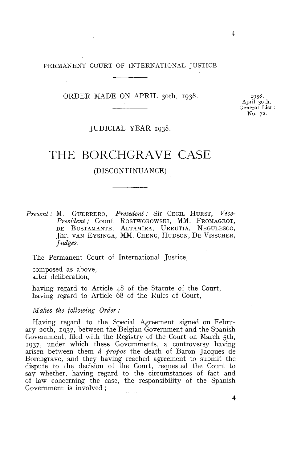## PERMANENT COURT OF INTERNATIONAL JUSTICE OF  $\Gamma$

#### ORDER MADE ON APRIL 3oth, 1938.

1938. **April 30th.**  General List : No. **72.** 

#### JUDICIAL YEAR 1938.

### THE BORCHGRAVE CASE

#### (DISCONTINUANCE)

*Present* : *M.* GUERRERO, *President* ; Sir CECIL HURST, *Vice-*M. GUERRERO, *President ;* Sir Cecil Hurst, *Vice-<br>President ;* Count Rostworowski, MM. Fromageot,<br>de Bustamante, Altamira, Urrutia, Negulesco, Jhr. VAN EYSINGA, MM. CHENG, HUDSON, DE VISSCHER, *Jadges.* 

The Permanent Court of International Justice,

composed as above, after deliberation,

having regard to Article 48 of the Statute of the Court, having regard to Article 68 of the Rules of Court,

#### *Makes the following Order* :

Having regard to the Special Agreement signed on February zoth, 1937, between the Belgian Government and the Spanish Government, filed with the Registry of the Court on March 5th, 1937, under which these Governments, a controversy having arisen between them *à propos* the death of Baron Jacques de Borchgrave, and they having reached agreement to submit the dispute to the decision of the Court, requested the Court to Say whether, having regard to the circumstances of fact and of law concerning the case, the responsibility of the Spanish Government is involved ;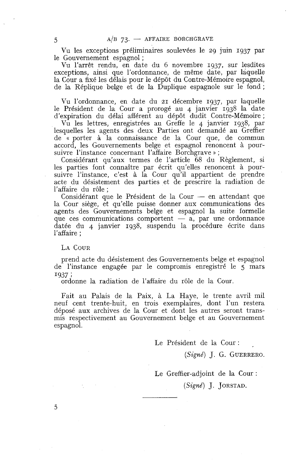Vu les exceptions préliminaires soulevées le 29 juin 1937 par le Gouvernement espagnol ;

Vu l'arrêt rendu, en date du 6 novembre 1937, sur lesdites exceptions, ainsi que l'ordonnance, de même date, par laquelle la Cour a fixé les délais pour le dépôt du Contre-Mémoire espagnol, de la Réplique belge et de la Duplique espagnole sur le fond ;

Vu l'ordonnance, en date du 21 décembre 1937, par laquelle le Président de la Cour a prorogé au 4 janvier 1938 la date d'expiration du délai afférent au dépôt dudit Contre-Mémoire ;

Vu les lettres, enregistrées au Greffe le 4 janvier 1938, par lesquelles les agents des deux Parties ont demandé au Greffier de « porter à la connaissance de la Cour que, de commun accord, les Gouvernements belge et espagnol renoncent à poursuivre l'instance concernant l'affaire Borchgrave »;

Considérant qu'aux termes de l'article 68 du Règlement, si les parties font connaître par écrit qu'elles renoncent à poursuivre l'instance, c'est à la Cour qu'il appartient de prendre acte du désistement des parties et de prescrire la radiation de<br>l'affaire du rôle ;<br>Considérant que le Président de la Cour — en attendant que<br>le Cour cière et qu'elle puisse donner aux communications des l'affaire du rôle ;<br>Considérant que le Président de la Cour — en attendant que

la Cour siège, et qu'elle puisse donner aux communications des agents des Gouvernements belge et espagnol la suite formelle que ces communications comportent  $- a$ , par une ordonnance datée du 4 janvier 1938, suspendu la procédure écrite dans l'affaire ;

LA COUR

5

prend acte du désistement des Gouvernements belge et espagnol de l'instance engagée par le compromis enregistré le 5 mars <sup>1937</sup>; ordonne la radiation de l'affaire du rôle de la Cour

Fait au Palais de la Paix, à La Haye, le trente avril mil neuf cent trente-huit, en trois exemplaires, dont l'un restera déposé aux archives de la Cour et dont les autres seront transmis respectivement au Gouvernement belge et au Gouvernement espagnol.

Le Président de la Cour :

*(Signé) J.* G. GUERRERO.

Le Greffier-adjoint de la Cour :

*(Signé) J.* JORSTAD.